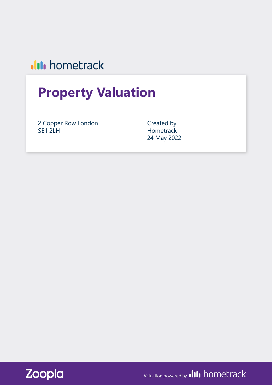## **III** hometrack

# **Property Valuation**

2 Copper Row London SE1 2LH

Created by Hometrack 24 May 2022



Valuation powered by **IIII** hometrack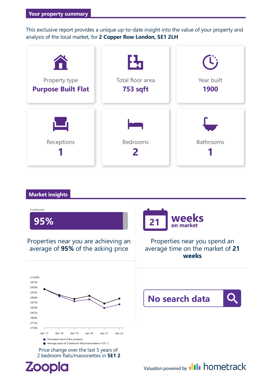This exclusive report provides a unique up-to-date insight into the value of your property and analysis of thelocal market, for **2 Copper Row London, SE1 2LH**



#### **Market insights**

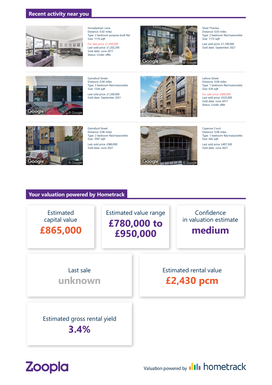#### **Recent activity near you**



Horselydown Lane Distance: 0.02 miles Type: 2 bedroom purpose built flat Size: 1119 sqft

For sale price: £1,450,000 Last sold price: £1,202,295 Sold date: June 2017 Status: Under offer



Shad Thames Distance: 0.03 miles Type: 2 bedroom flat/maisonette Size: 1173 sqft

Last sold price: £1,100,000 Sold date: September 2021



Gainsford Street Distance: 0.04 miles Type: 3 bedroom flat/maisonette Size: 1334 sqft

Last sold price: £1,200,000 Sold date: September 2021



Lafone Street Distance: 0.04 miles Type: 1 bedroom flat/maisonette Size: 678 sqft

For sale price: £600,000 Last sold price: £525,000 Sold date: June 2017 Status: Under offer



Gainsford Street Distance: 0.08 miles Type: 2 bedroom flat/maisonette Size: 1097 saft Last sold price: £980,000 Sold date: June 2021



Cayenne Court Distance: 0.08 miles Type: 1 bedroom flat/maisonette Size: 645 sqft Last sold price: £497,500 Sold date: June 2021

#### **Your valuation powered by Hometrack**





Valuation powered by **III** hometrack